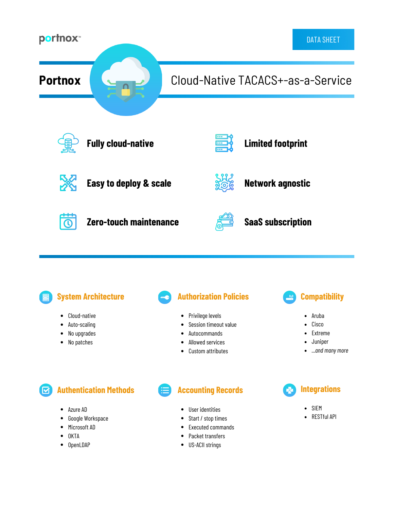

## **System Architecture**

- Cloud-native  $\bullet$
- $\bullet$ Auto-scaling
- No upgrades  $\bullet$
- No patches  $\bullet$

## **Authorization Policies**

- Privilege levels
- Session timeout value
- Autocommands
- Allowed services
- Custom attributes  $\bullet$

# **Compatibility**

- Aruba
- Cisco
- Extreme
- Juniper
- *...and many more*

**Authentication Methods**  $\left[ \mathbf{\nabla}\right]$ 

- Azure AD  $\bullet$
- $\bullet$ Google Workspace
- $\bullet$ Microsoft AD
- **OKTA**
- OpenLDAP

**Accounting Records**

- User identities
- Start / stop times  $\bullet$
- Executed commands
- Packet transfers
- US-ACII strings



- $\bullet$ SIEM
- RESTful API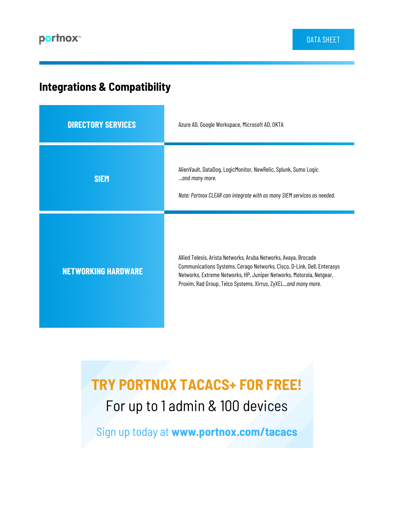# **Integrations & Compatibility**

| <b>DIRECTORY SERVICES</b>  | Azure AD, Google Workspace, Microsoft AD, OKTA                                                                                                                                                                                                                                      |
|----------------------------|-------------------------------------------------------------------------------------------------------------------------------------------------------------------------------------------------------------------------------------------------------------------------------------|
| <b>SIEM</b>                | AlienVault, DataDog, LogicMonitor, NewRelic, Splunk, Sumo Logic<br>and many more.<br>Note: Portnox CLEAR can integrate with as many SIEM services as needed.                                                                                                                        |
| <b>NETWORKING HARDWARE</b> | Allied Telesis, Arista Networks, Aruba Networks, Avaya, Brocade<br>Communications Systems, Cerago Networks, Cisco, D-Link, Dell, Enterasys<br>Networks, Extreme Networks, HP, Juniper Networks, Motorola, Netgear,<br>Proxim, Rad Group, Telco Systems, Xirrus, ZyXELand many more. |

# **TRY PORTNOX TACACS+ FOR FREE!** For up to 1 admin & 100 devices

Sign up today at **www.portnox.com/tacacs**